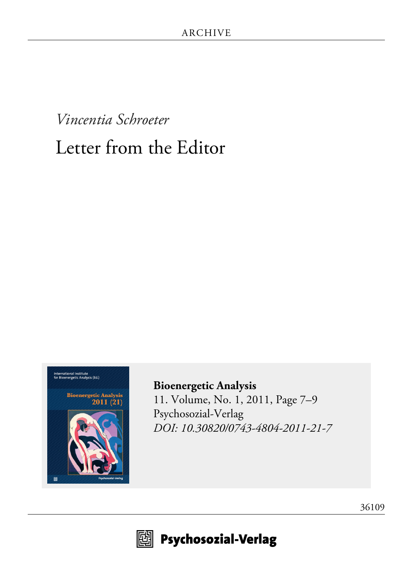## *Vincentia Schroeter* Letter from the Editor



**[Bioenergetic Analysis](http://www.psychosozial-verlag.de/2107)** [11. Volume, No. 1, 2011, Page 7–9](http://www.psychosozial-verlag.de/2107) [Psychosozial-Verlag](http://www.psychosozial-verlag.de/2107) *[DOI: 10.30820/0743-4804-2011-21-7](https://doi.org/10.30820/0743-4804-2011-21-7)*



**19 Psychosozial-Verlag** 

[36109](http://www.psychosozial-verlag.de/36109)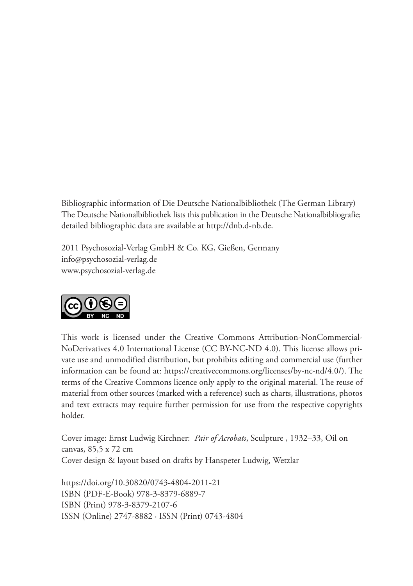Bibliographic information of Die Deutsche Nationalbibliothek (The German Library) The Deutsche Nationalbibliothek lists this publication in the Deutsche Nationalbibliografie; detailed bibliographic data are available at http://dnb.d-nb.de.

2011 Psychosozial-Verlag GmbH & Co. KG, Gießen, Germany info@psychosozial-verlag.de www.psychosozial-verlag.de



This work is licensed under the Creative Commons Attribution-NonCommercial-NoDerivatives 4.0 International License (CC BY-NC-ND 4.0). This license allows private use and unmodified distribution, but prohibits editing and commercial use (further information can be found at: https://creativecommons.org/licenses/by-nc-nd/4.0/). The terms of the Creative Commons licence only apply to the original material. The reuse of material from other sources (marked with a reference) such as charts, illustrations, photos and text extracts may require further permission for use from the respective copyrights holder.

Cover image: Ernst Ludwig Kirchner: *Pair of Acrobats*, Sculpture , 1932–33, Oil on canvas, 85,5 x 72 cm Cover design & layout based on drafts by Hanspeter Ludwig, Wetzlar

https://doi.org/10.30820/0743-4804-2011-21 ISBN (PDF-E-Book) 978-3-8379-6889-7 ISBN (Print) 978-3-8379-2107-6 ISSN (Online) 2747-8882 · ISSN (Print) 0743-4804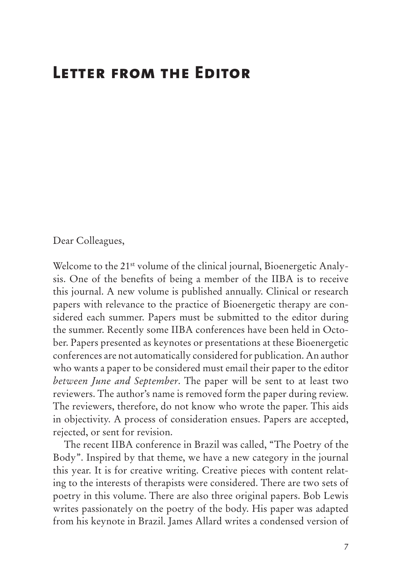## **Letter from the Editor**

Dear Colleagues,

Welcome to the 21<sup>st</sup> volume of the clinical journal, Bioenergetic Analysis. One of the benefits of being a member of the IIBA is to receive this journal. A new volume is published annually. Clinical or research papers with relevance to the practice of Bioenergetic therapy are considered each summer. Papers must be submitted to the editor during the summer. Recently some IIBA conferences have been held in October. Papers presented as keynotes or presentations at these Bioenergetic conferences are not automatically considered for publication. An author who wants a paper to be considered must email their paper to the editor *between June and September*. The paper will be sent to at least two reviewers. The author's name is removed form the paper during review. The reviewers, therefore, do not know who wrote the paper. This aids in objectivity. A process of consideration ensues. Papers are accepted, rejected, or sent for revision.

The recent IIBA conference in Brazil was called, "The Poetry of the Body". Inspired by that theme, we have a new category in the journal this year. It is for creative writing. Creative pieces with content relating to the interests of therapists were considered. There are two sets of poetry in this volume. There are also three original papers. Bob Lewis writes passionately on the poetry of the body. His paper was adapted from his keynote in Brazil. James Allard writes a condensed version of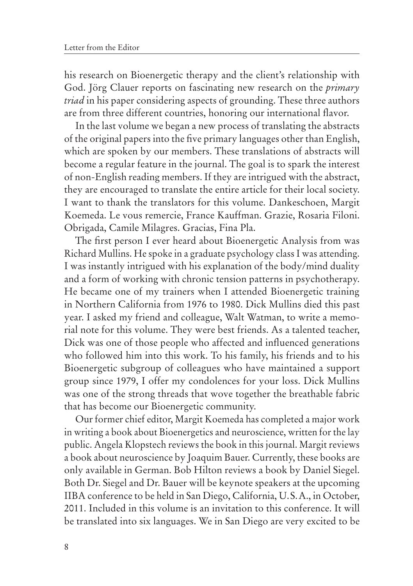his research on Bioenergetic therapy and the client's relationship with God. Jörg Clauer reports on fascinating new research on the *primary triad* in his paper considering aspects of grounding. These three authors are from three different countries, honoring our international flavor.

In the last volume we began a new process of translating the abstracts of the original papers into the five primary languages other than English, which are spoken by our members. These translations of abstracts will become a regular feature in the journal. The goal is to spark the interest of non-English reading members. If they are intrigued with the abstract, they are encouraged to translate the entire article for their local society. I want to thank the translators for this volume. Dankeschoen, Margit Koemeda. Le vous remercie, France Kauffman. Grazie, Rosaria Filoni. Obrigada, Camile Milagres. Gracias, Fina Pla.

The first person I ever heard about Bioenergetic Analysis from was Richard Mullins. He spoke in a graduate psychology class I was attending. I was instantly intrigued with his explanation of the body/mind duality and a form of working with chronic tension patterns in psychotherapy. He became one of my trainers when I attended Bioenergetic training in Northern California from 1976 to 1980. Dick Mullins died this past year. I asked my friend and colleague, Walt Watman, to write a memorial note for this volume. They were best friends. As a talented teacher, Dick was one of those people who affected and influenced generations who followed him into this work. To his family, his friends and to his Bioenergetic subgroup of colleagues who have maintained a support group since 1979, I offer my condolences for your loss. Dick Mullins was one of the strong threads that wove together the breathable fabric that has become our Bioenergetic community.

Our former chief editor, Margit Koemeda has completed a major work in writing a book about Bioenergetics and neuroscience, written for the lay public. Angela Klopstech reviews the book in this journal. Margit reviews a book about neuroscience by Joaquim Bauer. Currently, these books are only available in German. Bob Hilton reviews a book by Daniel Siegel. Both Dr. Siegel and Dr. Bauer will be keynote speakers at the upcoming IIBA conference to be held in San Diego, California, U.S.A., in October, 2011. Included in this volume is an invitation to this conference. It will be translated into six languages. We in San Diego are very excited to be